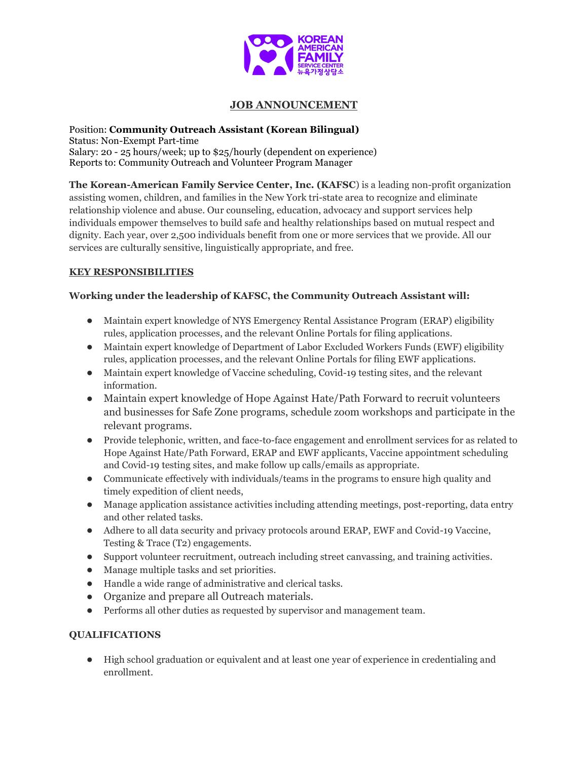

# **JOB ANNOUNCEMENT**

Position: **Community Outreach Assistant (Korean Bilingual)** Status: Non-Exempt Part-time Salary: 20 - 25 hours/week; up to \$25/hourly (dependent on experience) Reports to: Community Outreach and Volunteer Program Manager

**The Korean-American Family Service Center, Inc. (KAFSC**) is a leading non-profit organization assisting women, children, and families in the New York tri-state area to recognize and eliminate relationship violence and abuse. Our counseling, education, advocacy and support services help individuals empower themselves to build safe and healthy relationships based on mutual respect and dignity. Each year, over 2,500 individuals benefit from one or more services that we provide. All our services are culturally sensitive, linguistically appropriate, and free.

## **KEY RESPONSIBILITIES**

## **Working under the leadership of KAFSC, the Community Outreach Assistant will:**

- Maintain expert knowledge of NYS Emergency Rental Assistance Program (ERAP) eligibility rules, application processes, and the relevant Online Portals for filing applications.
- Maintain expert knowledge of Department of Labor Excluded Workers Funds (EWF) eligibility rules, application processes, and the relevant Online Portals for filing EWF applications.
- Maintain expert knowledge of Vaccine scheduling, Covid-19 testing sites, and the relevant information.
- Maintain expert knowledge of Hope Against Hate/Path Forward to recruit volunteers and businesses for Safe Zone programs, schedule zoom workshops and participate in the relevant programs.
- Provide telephonic, written, and face-to-face engagement and enrollment services for as related to Hope Against Hate/Path Forward, ERAP and EWF applicants, Vaccine appointment scheduling and Covid-19 testing sites, and make follow up calls/emails as appropriate.
- Communicate effectively with individuals/teams in the programs to ensure high quality and timely expedition of client needs,
- Manage application assistance activities including attending meetings, post-reporting, data entry and other related tasks.
- Adhere to all data security and privacy protocols around ERAP, EWF and Covid-19 Vaccine, Testing & Trace (T2) engagements.
- Support volunteer recruitment, outreach including street canvassing, and training activities.
- Manage multiple tasks and set priorities.
- Handle a wide range of administrative and clerical tasks.
- Organize and prepare all Outreach materials.
- Performs all other duties as requested by supervisor and management team.

### **QUALIFICATIONS**

● High school graduation or equivalent and at least one year of experience in credentialing and enrollment.